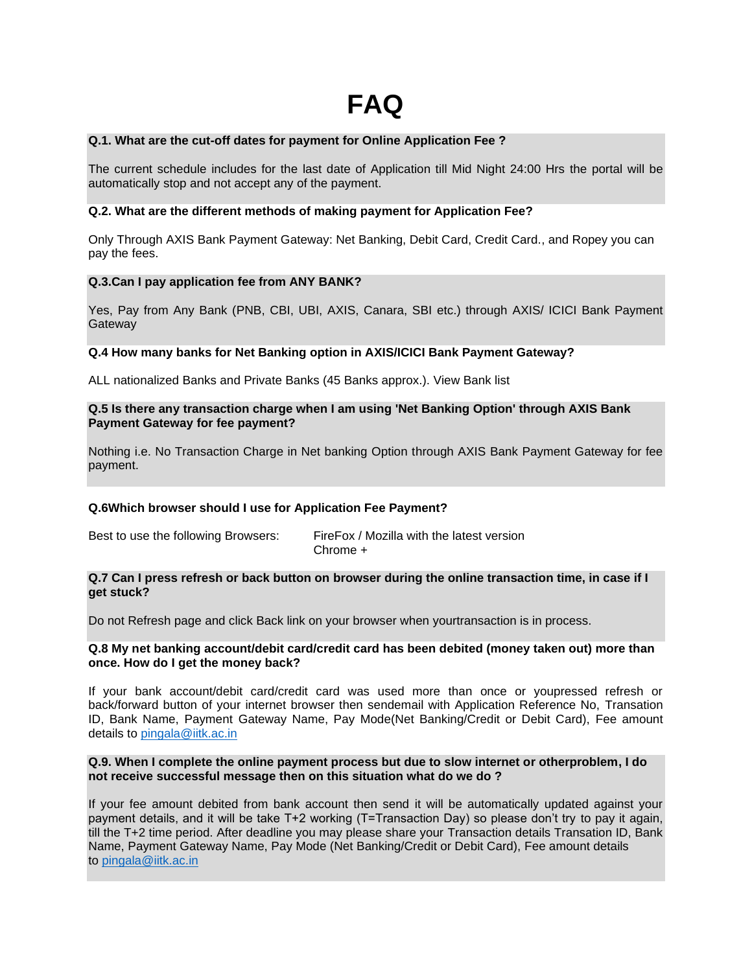## **Q.1. What are the cut-off dates for payment for Online Application Fee ?**

The current schedule includes for the last date of Application till Mid Night 24:00 Hrs the portal will be automatically stop and not accept any of the payment.

## **Q.2. What are the different methods of making payment for Application Fee?**

Only Through AXIS Bank Payment Gateway: Net Banking, Debit Card, Credit Card., and Ropey you can pay the fees.

## **Q.3.Can I pay application fee from ANY BANK?**

Yes, Pay from Any Bank (PNB, CBI, UBI, AXIS, Canara, SBI etc.) through AXIS/ ICICI Bank Payment **Gateway** 

# **Q.4 How many banks for Net Banking option in AXIS/ICICI Bank Payment Gateway?**

ALL nationalized Banks and Private Banks (45 Banks approx.). View Bank list

## **Q.5 Is there any transaction charge when I am using 'Net Banking Option' through AXIS Bank Payment Gateway for fee payment?**

Nothing i.e. No Transaction Charge in Net banking Option through AXIS Bank Payment Gateway for fee payment.

## **Q.6Which browser should I use for Application Fee Payment?**

| Best to use the following Browsers: | FireFox / Mozilla with the latest version |
|-------------------------------------|-------------------------------------------|
|                                     | Chrome +                                  |

#### **Q.7 Can I press refresh or back button on browser during the online transaction time, in case if I get stuck?**

Do not Refresh page and click Back link on your browser when yourtransaction is in process.

#### **Q.8 My net banking account/debit card/credit card has been debited (money taken out) more than once. How do I get the money back?**

If your bank account/debit card/credit card was used more than once or youpressed refresh or back/forward button of your internet browser then sendemail with Application Reference No, Transation ID, Bank Name, Payment Gateway Name, Pay Mode(Net Banking/Credit or Debit Card), Fee amount details to [pingala@iitk.ac.in](mailto:pingala@iitk.ac.in)

## **Q.9. When I complete the online payment process but due to slow internet or otherproblem, I do not receive successful message then on this situation what do we do ?**

If your fee amount debited from bank account then send it will be automatically updated against your payment details, and it will be take T+2 working (T=Transaction Day) so please don't try to pay it again, till the T+2 time period. After deadline you may please share your Transaction details Transation ID, Bank Name, Payment Gateway Name, Pay Mode (Net Banking/Credit or Debit Card), Fee amount details to [pingala@iitk.ac.in](mailto:pingala@iitk.ac.in)